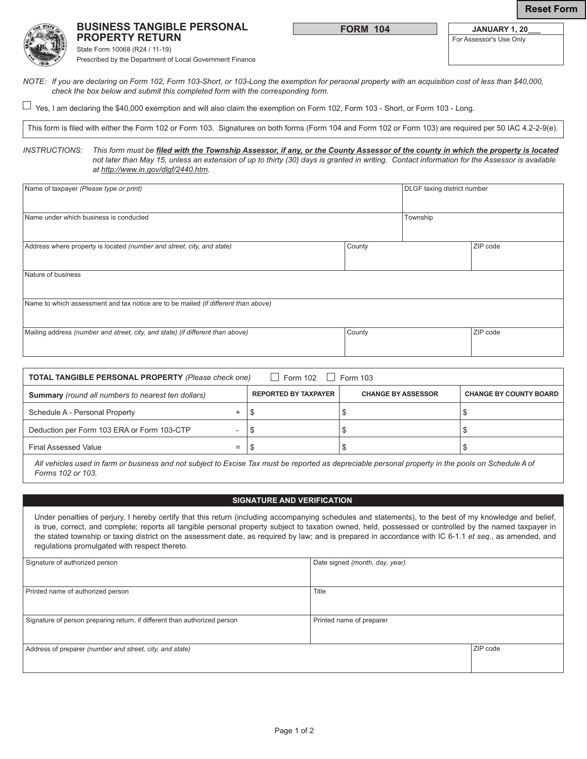### **BUSINESS TANGIBLE PERSONAL PROPERTY RETURN**

**FORM 104**

| JANUARY 1, 20           |
|-------------------------|
| For Assessor's Use Only |



State Form 10068 (R24 / 11-19) Prescribed by the Department of Local Government Finance

*NOTE: If you are declaring on Form 102, Form 103-Short, or 103-Long the exemption for personal property with an acquisition cost of less than \$40,000, check the box below and submit this completed form with the corresponding form.*

 $\Box$  Yes, I am declaring the \$40,000 exemption and will also claim the exemption on Form 102, Form 103 - Short, or Form 103 - Long.

This form is filed with either the Form 102 or Form 103. Signatures on both forms (Form 104 and Form 102 or Form 103) are required per 50 IAC 4.2-2-9(e).

*INSTRUCTIONS: This form must be filed with the Township Assessor, if any, or the County Assessor of the county in which the property is located not later than May 15, unless an extension of up to thirty (30) days is granted in writing. Contact information for the Assessor is available at http://www.in.gov/dlgf/2440.htm.*

| Name of taxpayer (Please type or print)                                            | DLGF taxing district number |  |          |  |  |  |  |  |
|------------------------------------------------------------------------------------|-----------------------------|--|----------|--|--|--|--|--|
| Name under which business is conducted                                             | Township                    |  |          |  |  |  |  |  |
| Address where property is located (number and street, city, and state)             | County                      |  | ZIP code |  |  |  |  |  |
| Nature of business                                                                 |                             |  |          |  |  |  |  |  |
| Name to which assessment and tax notice are to be mailed (if different than above) |                             |  |          |  |  |  |  |  |
| Mailing address (number and street, city, and state) (if different than above)     | County                      |  | ZIP code |  |  |  |  |  |

| $\vert$ Form 102<br><b>TOTAL TANGIBLE PERSONAL PROPERTY (Please check one)</b><br>$\vert$ Form 103 |     |                             |                           |                               |  |  |  |
|----------------------------------------------------------------------------------------------------|-----|-----------------------------|---------------------------|-------------------------------|--|--|--|
| <b>Summary</b> (round all numbers to nearest ten dollars)                                          |     | <b>REPORTED BY TAXPAYER</b> | <b>CHANGE BY ASSESSOR</b> | <b>CHANGE BY COUNTY BOARD</b> |  |  |  |
| Schedule A - Personal Property                                                                     |     | J                           |                           |                               |  |  |  |
| Deduction per Form 103 ERA or Form 103-CTP                                                         |     |                             |                           |                               |  |  |  |
| <b>Final Assessed Value</b>                                                                        | $=$ |                             |                           |                               |  |  |  |
|                                                                                                    |     |                             |                           |                               |  |  |  |

*All vehicles used in farm or business and not subject to Excise Tax must be reported as depreciable personal property in the pools on Schedule A of Forms 102 or 103.* 

# **SIGNATURE AND VERIFICATION**

Under penalties of perjury, I hereby certify that this return (including accompanying schedules and statements), to the best of my knowledge and belief, is true, correct, and complete; reports all tangible personal property subject to taxation owned, held, possessed or controlled by the named taxpayer in the stated township or taxing district on the assessment date, as required by law; and is prepared in accordance with IC 6-1.1 *et seq*., as amended, and regulations promulgated with respect thereto.

| Signature of authorized person                                            | Date signed (month, day, year) |          |
|---------------------------------------------------------------------------|--------------------------------|----------|
|                                                                           |                                |          |
| Printed name of authorized person                                         | Title                          |          |
|                                                                           |                                |          |
| Signature of person preparing return, if different than authorized person | Printed name of preparer       |          |
|                                                                           |                                |          |
| Address of preparer (number and street, city, and state)                  |                                | ZIP code |
|                                                                           |                                |          |